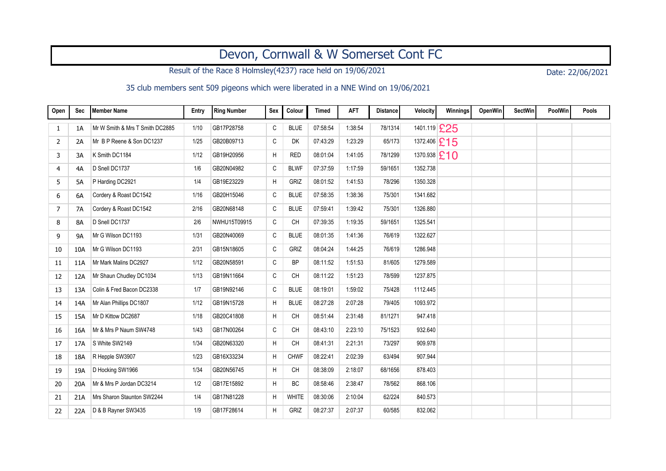## Devon, Cornwall & W Somerset Cont FC

Result of the Race 8 Holmsley(4237) race held on 19/06/2021 Date: 22/06/2021

## 35 club members sent 509 pigeons which were liberated in a NNE Wind on 19/06/2021

| Open | Sec | Member Name                     | Entry | <b>Ring Number</b> | Sex          | Colour       | <b>Timed</b> | <b>AFT</b> | <b>Distance</b> | <b>Velocity</b>  | Winnings | <b>OpenWin</b> | <b>SectWin</b> | PoolWin | Pools |
|------|-----|---------------------------------|-------|--------------------|--------------|--------------|--------------|------------|-----------------|------------------|----------|----------------|----------------|---------|-------|
| 1    | 1A  | Mr W Smith & Mrs T Smith DC2885 | 1/10  | GB17P28758         | C            | <b>BLUE</b>  | 07:58:54     | 1:38:54    | 78/1314         | 1401.119 £25     |          |                |                |         |       |
| 2    | 2A  | Mr B P Reene & Son DC1237       | 1/25  | GB20B09713         | C            | DK           | 07:43:29     | 1:23:29    | 65/173          | 1372.406 £15     |          |                |                |         |       |
| 3    | 3A  | K Smith DC1184                  | 1/12  | GB19H20956         | H            | <b>RED</b>   | 08:01:04     | 1:41:05    | 78/1299         | $1370.938$ $E10$ |          |                |                |         |       |
| 4    | 4A  | D Snell DC1737                  | 1/6   | GB20N04982         | C            | <b>BLWF</b>  | 07:37:59     | 1:17:59    | 59/1651         | 1352.738         |          |                |                |         |       |
| 5    | 5A  | P Harding DC2921                | 1/4   | GB19E23229         | H            | GRIZ         | 08:01:52     | 1.41.53    | 78/296          | 1350.328         |          |                |                |         |       |
| 6    | 6A  | Cordery & Roast DC1542          | 1/16  | GB20H15046         | C            | <b>BLUE</b>  | 07:58:35     | 1:38:36    | 75/301          | 1341.682         |          |                |                |         |       |
| 7    | 7A  | Cordery & Roast DC1542          | 2/16  | GB20N68148         | C            | <b>BLUE</b>  | 07:59:41     | 1:39:42    | 75/301          | 1326.880         |          |                |                |         |       |
| 8    | 8A  | D Snell DC1737                  | 2/6   | NWHU15T09915       | C            | <b>CH</b>    | 07:39:35     | 1:19:35    | 59/1651         | 1325.541         |          |                |                |         |       |
| 9    | 9A  | Mr G Wilson DC1193              | 1/31  | GB20N40069         | C            | <b>BLUE</b>  | 08:01:35     | 1:41:36    | 76/619          | 1322.627         |          |                |                |         |       |
| 10   | 10A | Mr G Wilson DC1193              | 2/31  | GB15N18605         | $\mathsf C$  | GRIZ         | 08:04:24     | 1:44:25    | 76/619          | 1286.948         |          |                |                |         |       |
| 11   | 11A | Mr Mark Malins DC2927           | 1/12  | GB20N58591         | C            | <b>BP</b>    | 08:11:52     | 1:51:53    | 81/605          | 1279.589         |          |                |                |         |       |
| 12   | 12A | Mr Shaun Chudley DC1034         | 1/13  | GB19N11664         | $\mathtt{C}$ | <b>CH</b>    | 08:11:22     | 1:51:23    | 78/599          | 1237.875         |          |                |                |         |       |
| 13   | 13A | Colin & Fred Bacon DC2338       | 1/7   | GB19N92146         | C            | <b>BLUE</b>  | 08:19:01     | 1:59:02    | 75/428          | 1112.445         |          |                |                |         |       |
| 14   | 14A | Mr Alan Phillips DC1807         | 1/12  | GB19N15728         | H            | <b>BLUE</b>  | 08:27:28     | 2:07:28    | 79/405          | 1093.972         |          |                |                |         |       |
| 15   | 15A | Mr D Kittow DC2687              | 1/18  | GB20C41808         | H            | CH           | 08:51:44     | 2:31:48    | 81/1271         | 947.418          |          |                |                |         |       |
| 16   | 16A | Mr & Mrs P Naum SW4748          | 1/43  | GB17N00264         | C            | <b>CH</b>    | 08:43:10     | 2:23:10    | 75/1523         | 932.640          |          |                |                |         |       |
| 17   | 17A | S White SW2149                  | 1/34  | GB20N63320         | H            | <b>CH</b>    | 08:41:31     | 2:21:31    | 73/297          | 909.978          |          |                |                |         |       |
| 18   | 18A | R Hepple SW3907                 | 1/23  | GB16X33234         | H            | <b>CHWF</b>  | 08:22:41     | 2:02:39    | 63/494          | 907.944          |          |                |                |         |       |
| 19   | 19A | D Hocking SW1966                | 1/34  | GB20N56745         | H            | CH           | 08:38:09     | 2:18:07    | 68/1656         | 878.403          |          |                |                |         |       |
| 20   | 20A | Mr & Mrs P Jordan DC3214        | 1/2   | GB17E15892         | H            | BC           | 08:58:46     | 2:38:47    | 78/562          | 868.106          |          |                |                |         |       |
| 21   | 21A | Mrs Sharon Staunton SW2244      | 1/4   | GB17N81228         | H            | <b>WHITE</b> | 08:30:06     | 2:10:04    | 62/224          | 840.573          |          |                |                |         |       |
| 22   | 22A | D & B Rayner SW3435             | 1/9   | GB17F28614         | H            | GRIZ         | 08:27:37     | 2:07:37    | 60/585          | 832.062          |          |                |                |         |       |